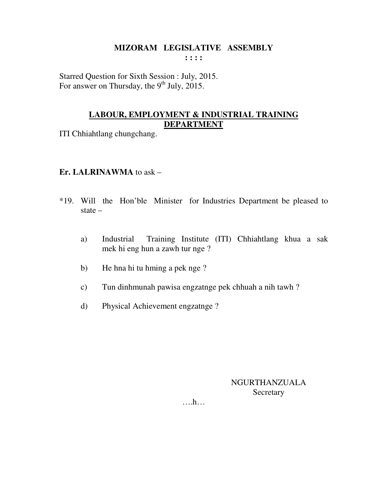#### **MIZORAM LEGISLATIVE ASSEMBLY : : : :**

Starred Question for Sixth Session : July, 2015. For answer on Thursday, the  $9<sup>th</sup>$  July, 2015.

## **LABOUR, EMPLOYMENT & INDUSTRIAL TRAINING DEPARTMENT**

ITI Chhiahtlang chungchang.

## **Er. LALRINAWMA** to ask –

- \*19. Will the Hon'ble Minister for Industries Department be pleased to state –
	- a) Industrial Training Institute (ITI) Chhiahtlang khua a sak mek hi eng hun a zawh tur nge ?
	- b) He hna hi tu hming a pek nge ?
	- c) Tun dinhmunah pawisa engzatnge pek chhuah a nih tawh ?
	- d) Physical Achievement engzatnge ?

NGURTHANZUALA **Secretary** 

….h…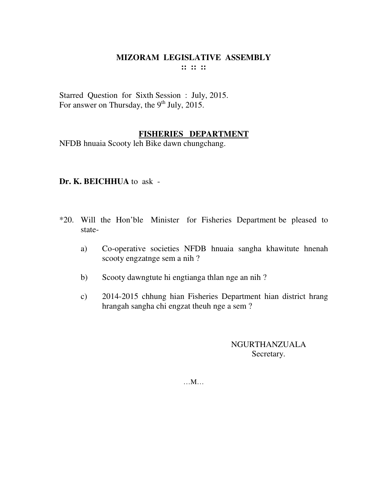#### **MIZORAM LEGISLATIVE ASSEMBLY :: :: ::**

Starred Question for Sixth Session : July, 2015. For answer on Thursday, the  $9<sup>th</sup>$  July, 2015.

#### **FISHERIES DEPARTMENT**

NFDB hnuaia Scooty leh Bike dawn chungchang.

#### **Dr. K. BEICHHUA** to ask -

- \*20. Will the Hon'ble Minister for Fisheries Department be pleased to state
	- a) Co-operative societies NFDB hnuaia sangha khawitute hnenah scooty engzatnge sem a nih ?
	- b) Scooty dawngtute hi engtianga thlan nge an nih ?
	- c) 2014-2015 chhung hian Fisheries Department hian district hrang hrangah sangha chi engzat theuh nge a sem ?

NGURTHANZUALA Secretary.

…M…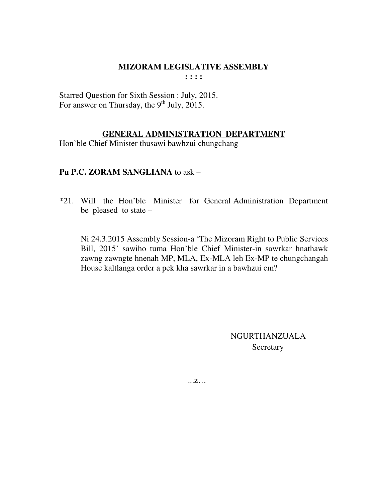**: : : :** 

Starred Question for Sixth Session : July, 2015. For answer on Thursday, the  $9<sup>th</sup>$  July, 2015.

#### **GENERAL ADMINISTRATION DEPARTMENT**

Hon'ble Chief Minister thusawi bawhzui chungchang

## **Pu P.C. ZORAM SANGLIANA** to ask –

\*21. Will the Hon'ble Minister for General Administration Department be pleased to state –

 Ni 24.3.2015 Assembly Session-a 'The Mizoram Right to Public Services Bill, 2015' sawiho tuma Hon'ble Chief Minister-in sawrkar hnathawk zawng zawngte hnenah MP, MLA, Ex-MLA leh Ex-MP te chungchangah House kaltlanga order a pek kha sawrkar in a bawhzui em?

> NGURTHANZUALA Secretary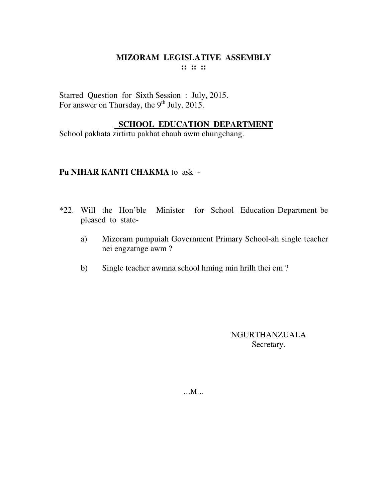#### MIZORAM LEGISLATIVE ASSEMBLY :: :: ::

Starred Question for Sixth Session : July, 2015. For answer on Thursday, the 9<sup>th</sup> July, 2015.

## **SCHOOL EDUCATION DEPARTMENT**

School pakhata zirtirtu pakhat chauh awm chungchang.

#### Pu NIHAR KANTI CHAKMA to ask -

- \*22. Will the Hon'ble Minister for School Education Department be pleased to state-
	- Mizoram pumpuiah Government Primary School-ah single teacher a) nei engzatnge awm?
	- Single teacher awmna school hming min hrilh thei em?  $b)$

**NGURTHANZUALA** Secretary.

 $...M...$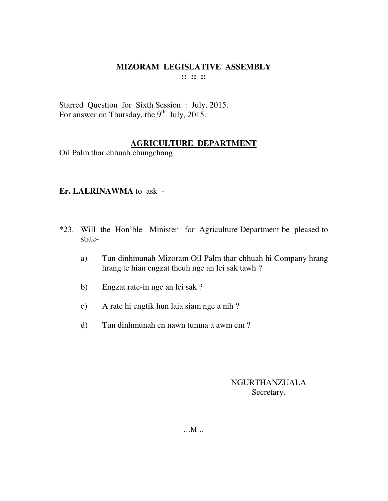## **MIZORAM LEGISLATIVE ASSEMBLY :: :: ::**

Starred Question for Sixth Session : July, 2015. For answer on Thursday, the  $9<sup>th</sup>$  July, 2015.

## **AGRICULTURE DEPARTMENT**

Oil Palm thar chhuah chungchang.

## **Er. LALRINAWMA** to ask -

- \*23. Will the Hon'ble Minister for Agriculture Department be pleased to state
	- a) Tun dinhmunah Mizoram Oil Palm thar chhuah hi Company hrang hrang te hian engzat theuh nge an lei sak tawh ?
	- b) Engzat rate-in nge an lei sak ?
	- c) A rate hi engtik hun laia siam nge a nih ?
	- d) Tun dinhmunah en nawn tumna a awm em ?

#### NGURTHANZUALA Secretary.

…M…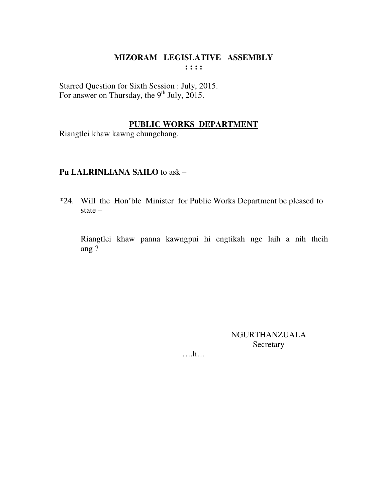### **MIZORAM LEGISLATIVE ASSEMBLY : : : :**

Starred Question for Sixth Session : July, 2015. For answer on Thursday, the 9<sup>th</sup> July, 2015.

#### **PUBLIC WORKS DEPARTMENT**

Riangtlei khaw kawng chungchang.

## **Pu LALRINLIANA SAILO** to ask –

\*24. Will the Hon'ble Minister for Public Works Department be pleased to state –

 Riangtlei khaw panna kawngpui hi engtikah nge laih a nih theih ang ?

> NGURTHANZUALA Secretary

….h…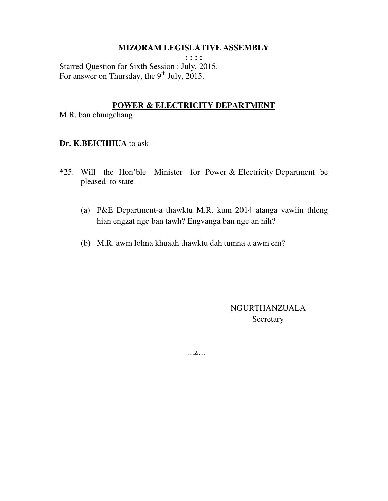**: : : :**  Starred Question for Sixth Session : July, 2015. For answer on Thursday, the  $9<sup>th</sup>$  July, 2015.

#### **POWER & ELECTRICITY DEPARTMENT**

M.R. ban chungchang

#### **Dr. K.BEICHHUA** to ask –

- \*25. Will the Hon'ble Minister for Power & Electricity Department be pleased to state –
	- (a) P&E Department-a thawktu M.R. kum 2014 atanga vawiin thleng hian engzat nge ban tawh? Engvanga ban nge an nih?
	- (b) M.R. awm lohna khuaah thawktu dah tumna a awm em?

 NGURTHANZUALA Secretary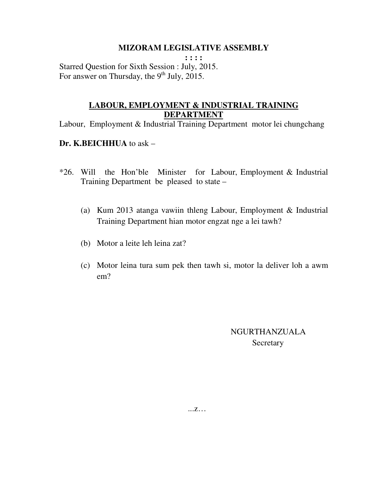**: : : :**  Starred Question for Sixth Session : July, 2015. For answer on Thursday, the  $9<sup>th</sup>$  July, 2015.

## **LABOUR, EMPLOYMENT & INDUSTRIAL TRAINING DEPARTMENT**

Labour, Employment & Industrial Training Department motor lei chungchang

#### **Dr. K.BEICHHUA** to ask –

- \*26. Will the Hon'ble Minister for Labour, Employment & Industrial Training Department be pleased to state –
	- (a) Kum 2013 atanga vawiin thleng Labour, Employment & Industrial Training Department hian motor engzat nge a lei tawh?
	- (b) Motor a leite leh leina zat?
	- (c) Motor leina tura sum pek then tawh si, motor la deliver loh a awm em?

 NGURTHANZUALA **Secretary**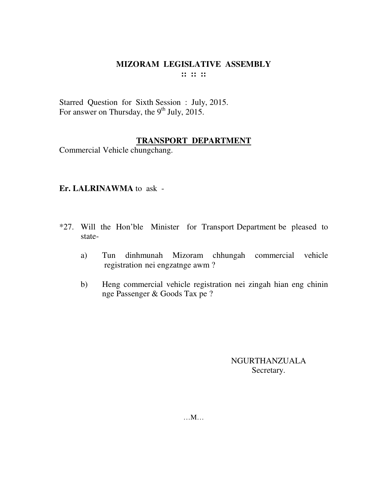#### MIZORAM LEGISLATIVE ASSEMBLY  $\mathbf{11} \mathbf{11} \mathbf{11}$

Starred Question for Sixth Session : July, 2015. For answer on Thursday, the 9<sup>th</sup> July, 2015.

#### **TRANSPORT DEPARTMENT**

Commercial Vehicle chungchang.

#### Er. LALRINAWMA to ask -

- \*27. Will the Hon'ble Minister for Transport Department be pleased to state
	- dinhmunah Mizoram chhungah commercial vehicle Tun a) registration nei engzatnge awm?
	- Heng commercial vehicle registration nei zingah hian eng chinin  $b)$ nge Passenger & Goods Tax pe ?

**NGURTHANZUALA** Secretary.

 $...M...$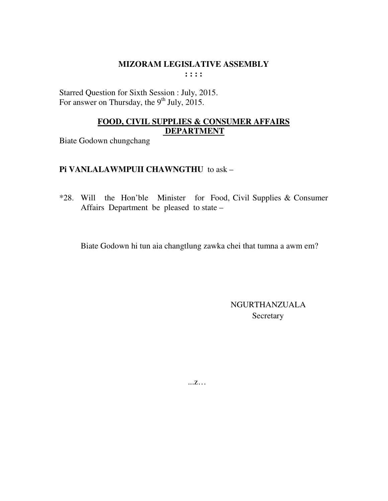Starred Question for Sixth Session : July, 2015. For answer on Thursday, the  $9<sup>th</sup>$  July, 2015.

## FOOD, CIVIL SUPPLIES & CONSUMER AFFAIRS **DEPARTMENT**

**Biate Godown chungchang** 

## Pi VANLALAWMPUII CHAWNGTHU to ask -

\*28. Will the Hon'ble Minister for Food, Civil Supplies & Consumer Affairs Department be pleased to state -

Biate Godown hi tun aia changtlung zawka chei that tumna a awm em?

**NGURTHANZUALA** Secretary

 $\dots Z \dots$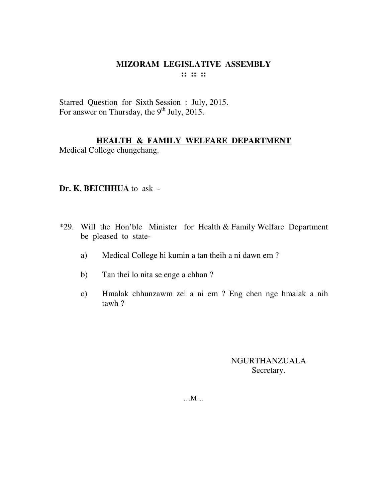#### MIZORAM LEGISLATIVE ASSEMBLY  $\mathbf{11} \mathbf{11} \mathbf{11}$

Starred Question for Sixth Session: July, 2015.<br>For answer on Thursday, the 9<sup>th</sup> July, 2015.

## HEALTH & FAMILY WELFARE DEPARTMENT

Medical College chungchang.

## Dr. K. BEICHHUA to ask -

- \*29. Will the Hon'ble Minister for Health & Family Welfare Department be pleased to state-
	- Medical College hi kumin a tan theih a ni dawn em? a)
	- Tan thei lo nita se enge a chhan?  $b)$
	- Hmalak chhunzawm zel a ni em ? Eng chen nge hmalak a nih  $\mathbf{c})$ tawh?

**NGURTHANZUALA** Secretary.

 $...M...$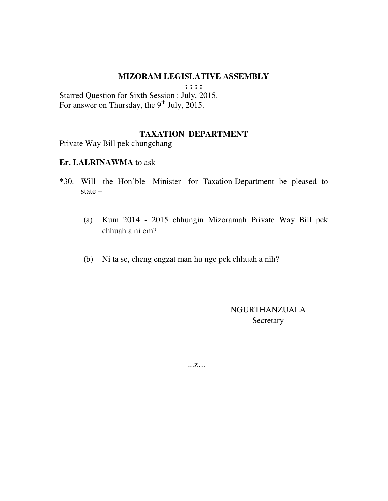**: : : :** 

Starred Question for Sixth Session : July, 2015. For answer on Thursday, the  $9<sup>th</sup>$  July, 2015.

#### **TAXATION DEPARTMENT**

Private Way Bill pek chungchang

#### **Er. LALRINAWMA** to ask –

- \*30. Will the Hon'ble Minister for Taxation Department be pleased to state –
	- (a) Kum 2014 2015 chhungin Mizoramah Private Way Bill pek chhuah a ni em?
	- (b) Ni ta se, cheng engzat man hu nge pek chhuah a nih?

 NGURTHANZUALA **Secretary**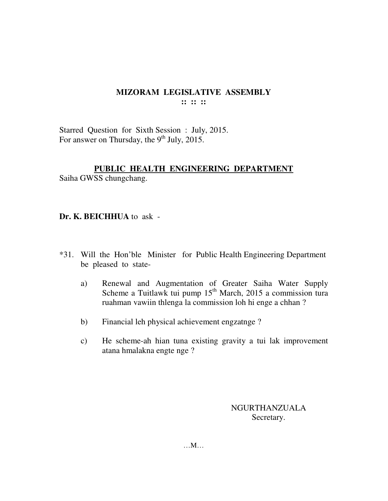## **MIZORAM LEGISLATIVE ASSEMBLY :: :: ::**

Starred Question for Sixth Session : July, 2015. For answer on Thursday, the  $9<sup>th</sup>$  July, 2015.

## **PUBLIC HEALTH ENGINEERING DEPARTMENT**

Saiha GWSS chungchang.

**Dr. K. BEICHHUA** to ask -

- \*31. Will the Hon'ble Minister for Public Health Engineering Department be pleased to state
	- a) Renewal and Augmentation of Greater Saiha Water Supply Scheme a Tuitlawk tui pump  $15<sup>th</sup>$  March, 2015 a commission tura ruahman vawiin thlenga la commission loh hi enge a chhan ?
	- b) Financial leh physical achievement engzatnge ?
	- c) He scheme-ah hian tuna existing gravity a tui lak improvement atana hmalakna engte nge ?

NGURTHANZUALA Secretary.

…M…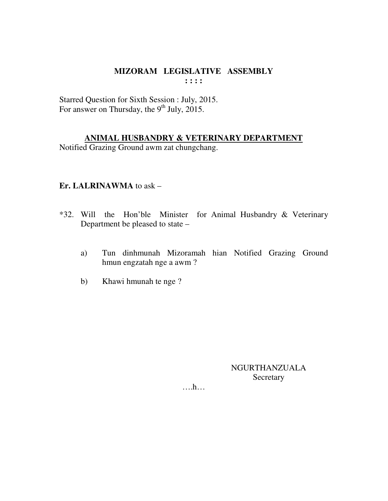## MIZORAM LEGISLATIVE ASSEMBLY  $: : : :$

Starred Question for Sixth Session : July, 2015. For answer on Thursday, the  $9<sup>th</sup>$  July, 2015.

## ANIMAL HUSBANDRY & VETERINARY DEPARTMENT

Notified Grazing Ground awm zat chungchang.

## Er. LALRINAWMA to ask  $-$

- \*32. Will the Hon'ble Minister for Animal Husbandry & Veterinary Department be pleased to state –
	- Tun dinhmunah Mizoramah hian Notified Grazing Ground a) hmun engzatah nge a awm?
	- Khawi hmunah te nge?  $b)$

NGURTHANZUALA Secretary

 $\dots h\dots$